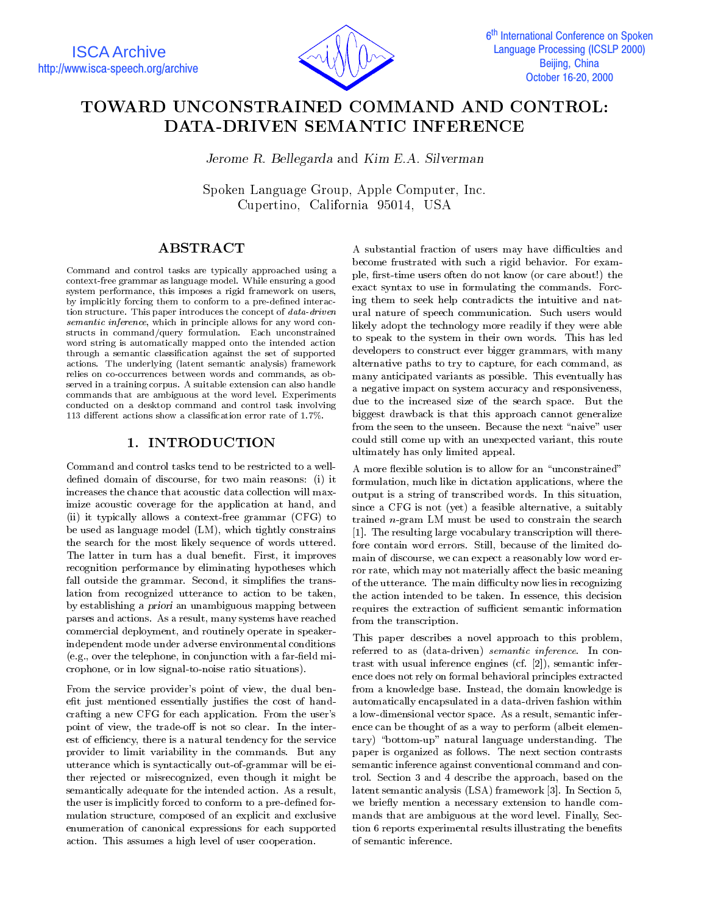

# TOWARD UNCONSTRAINED COMMAND AND CONTROL: DATA-DRIVEN SEMANTIC INFERENCE

Jerome R. Bellegarda and Kim E.A. Silverman

Spoken Language Group, Apple Computer, Inc. Cupertino, California 95014, USA

## ABSTRACT

Command and control tasks are typically approached using a context-free grammar as language model. While ensuring a good system performance, this imposes a rigid framework on users, by implicitly forcing them to conform to a pre-defined interaction structure. This paper introduces the concept of data-driven semantic inference, which in principle allows for any word constructs in command/query formulation. Each unconstrained word string is automatically mapped onto the intended action through a semantic classication against the set of supported actions. The underlying (latent semantic analysis) framework relies on co-occurrences between words and commands, as ob served in a training corpus. A suitable extension can also handle commands that are ambiguous at the word level. Experiments conducted on a desktop command and control task involving 113 different actions show a classification error rate of  $1.7\%$ .

### 1. INTRODUCTION

Command and control tasks tend to be restricted to a welldefined domain of discourse, for two main reasons: (i) it increases the chance that acoustic data collection will maximize acoustic coverage for the application at hand, and (ii) it typically allows a context-free grammar (CFG) to be used as language model (LM), which tightly constrains the search for the most likely sequence of words uttered. The latter in turn has a dual benefit. First, it improves recognition performance by eliminating hypotheses which fall outside the grammar. Second, it simplifies the translation from recognized utterance to action to be taken, by establishing a priori an unambiguous mapping between parses and actions. As a result, many systems have reached commercial deployment, and routinely operate in speakerindependent mode under adverse environmental conditions  $(e.g., over the telephone, in conjunction with a far-field mi$ crophone, or in low signal-to-noise ratio situations).

From the service provider's point of view, the dual benefit just mentioned essentially justifies the cost of handcrafting a new CFG for each application. From the user's point of view, the trade-off is not so clear. In the interest of efficiency, there is a natural tendency for the service provider to limit variability in the commands. But any utterance which is syntactically out-of-grammar will be either rejected or misrecognized, even though it might be semantically adequate for the intended action. As a result, the user is implicitly forced to conform to a pre-defined formulation structure, composed of an explicit and exclusive enumeration of canonical expressions for each supported action. This assumes a high level of user cooperation.

A substantial fraction of users may have difficulties and become frustrated with such a rigid behavior. For exam ple, first-time users often do not know (or care about!) the exact syntax to use in formulating the commands. Forcing them to seek help contradicts the intuitive and natural nature of speech communication. Such users would likely adopt the technology more readily if they were able to speak to the system in their own words. This has led developers to construct ever bigger grammars, with many alternative paths to try to capture, for each command, as many anticipated variants as possible. This eventually has a negative impact on system accuracy and responsiveness, due to the increased size of the search space. But the biggest drawback is that this approach cannot generalize from the seen to the unseen. Because the next "naive" user could still come up with an unexpected variant, this route ultimately has only limited appeal.

A more flexible solution is to allow for an "unconstrained" formulation, much like in dictation applications, where the output is a string of transcribed words. In this situation, since a CFG is not (yet) a feasible alternative, a suitably trained n-gram LM must be used to constrain the search [1]. The resulting large vocabulary transcription will therefore contain word errors. Still, because of the limited domain of discourse, we can expect a reasonably low word error rate, which may not materially affect the basic meaning of the utterance. The main difficulty now lies in recognizing the action intended to be taken. In essence, this decision requires the extraction of sufficient semantic information from the transcription.

This paper describes a novel approach to this problem, referred to as (data-driven) semantic inference. In con trast with usual inference engines (cf. [2]), semantic inference does not rely on formal behavioral principles extracted from a knowledge base. Instead, the domain knowledge is automatically encapsulated in a data-driven fashion within a low-dimensional vector space. As a result, semantic inference can be thought of as a way to perform (albeit elementary) "bottom-up" natural language understanding. The paper is organized as follows. The next section contrasts semantic inference against conventional command and control. Section 3 and 4 describe the approach, based on the latent semantic analysis (LSA) framework [3]. In Section 5, we briefly mention a necessary extension to handle commands that are ambiguous at the word level. Finally, Section 6 reports experimental results illustrating the benefits of semantic inference.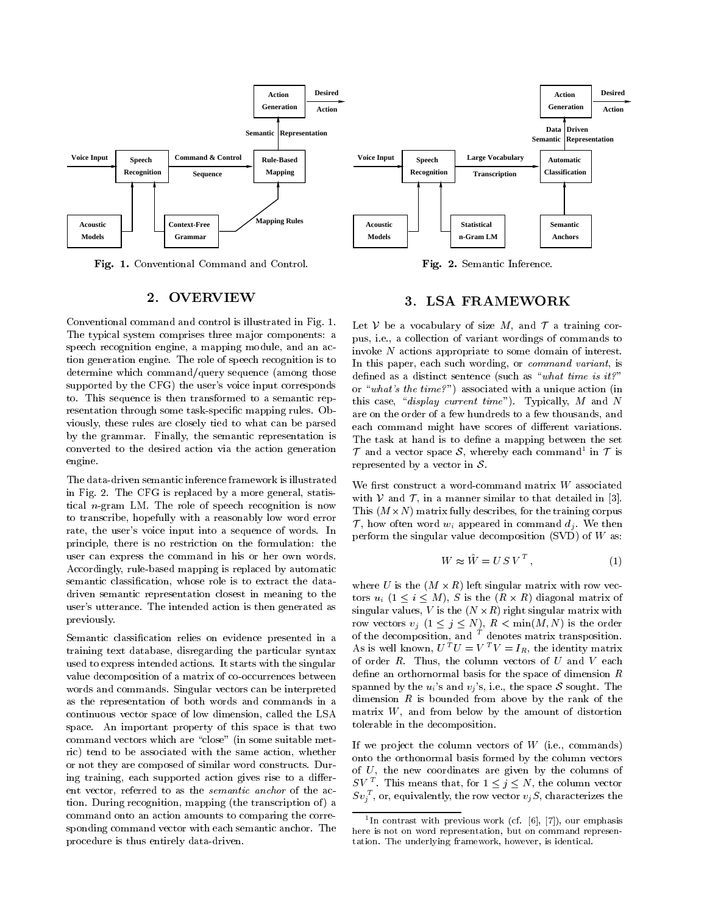

Fig. 1. Conventional Command and Control.

### 2. OVERVIEW

Conventional command and control is illustrated in Fig. 1. The typical system comprises three ma jor components: a speech recognition engine, a mapping module, and an action generation engine. The role of speech recognition is to determine which command/query sequence (among those supported by the CFG) the user's voice input corresponds to. This sequence is then transformed to a semantic rep resentation through some task-specic mapping rules. Obviously, these rules are closely tied to what can be parsed by the grammar. Finally, the semantic representation is converted to the desired action via the action generation engine.

The data-driven semantic inference framework is illustrated in Fig. 2. The CFG is replaced by a more general, statistical  $n$ -gram LM. The role of speech recognition is now to transcribe, hopefully with a reasonably low word error rate, the user's voice input into a sequence of words. In principle, there is no restriction on the formulation: the user can express the command in his or her own words. Accordingly, rule-based mapping is replaced by automatic semantic classification, whose role is to extract the datadriven semantic representation closest in meaning to the user's utterance. The intended action is then generated as previously.

Semantic classication relies on evidence presented in a training text database, disregarding the particular syntax used to express intended actions. It starts with the singular value decomposition of a matrix of co-occurrences between words and commands. Singular vectors can be interpreted as the representation of both words and commands in a continuous vector space of low dimension, called the LSA space. An important property of this space is that two command vectors which are "close" (in some suitable metric) tend to be associated with the same action, whether or not they are composed of similar word constructs. During training, each supported action gives rise to a different vector, referred to as the semantic anchor of the ac tion. During recognition, mapping (the transcription of) a command onto an action amounts to comparing the corresponding command vector with each semantic anchor. The procedure is thus entirely data-driven.

#### Fig. 2. Semantic Inference.

### 3. LSA FRAMEWORK

Let V be a vocabulary of size M, and  $\mathcal T$  a training corpus, i.e., a collection of variant wordings of commands to invoke <sup>N</sup> actions appropriate to some domain of interest. In this paper, each such wording, or command variant, is defined as a distinct sentence (such as "what time is it?" or "what's the time?") associated with a unique action (in this case, "*display current time*"). Typically, M and N are on the order of a few hundreds to a few thousands, and each command might have scores of different variations. The task at hand is to define a mapping between the set f and a vector space  $\delta$ , whereby each command in f is represented by a vector in  $S$ .

We first construct a word-command matrix  $W$  associated with  $V$  and  $T$ , in a manner similar to that detailed in [3]. The state  $\mathcal{M}$  matrix functions in the training corpus  $\mathcal{M}$  and the training corpus in the training corpus in  $\mathcal{T}$ , how often word  $w_i$  appeared in command  $d_i$ . We then perform the singular value decomposition  $(SVD)$  of W as:

$$
W \approx \hat{W} = U S V^T, \qquad (1)
$$

where  $U$  is the (M  $\sim$  10 and ) and the singular matrix with row vector  $\sim$ to a set  $\alpha$  is the  $\alpha$  -diagonal matrix of  $\alpha$  -diagonal matrix of  $\alpha$ singular values, <sup>V</sup> is the (N -R) right singular matrix with row vectors  $v_j$   $(1 \leq j \leq N)$ ,  $R < \min(M, N)$  is the order of the decomposition, and  $\overline{T}$  denotes matrix transposition. As is well known,  $U^{T}U = V^{T}V = I_{R}$ , the identity matrix of order  $R$ . Thus, the column vectors of  $U$  and  $V$  each define an orthornormal basis for the space of dimension  $R$ spanned by the  $u_i$ 's and  $v_j$ 's, i.e., the space S sought. The dimension  $R$  is bounded from above by the rank of the matrix  $W$ , and from below by the amount of distortion tolerable in the decomposition.

If we project the column vectors of  $W$  (i.e., commands) onto the orthonormal basis formed by the column vectors of  $U$ , the new coordinates are given by the columns of  $SV$  This means that, for  $1 \leq \gamma \leq N$ , the column vector  $\mathcal{S}v_i^{\scriptscriptstyle \top},$  or, equivalently, the row vector  $v_i$  S, characterizes the

<sup>1</sup> In contrast with previous work (cf. [6], [7]), our emphasis here is not on word representation, but on command representation. The underlying framework, however, is identical.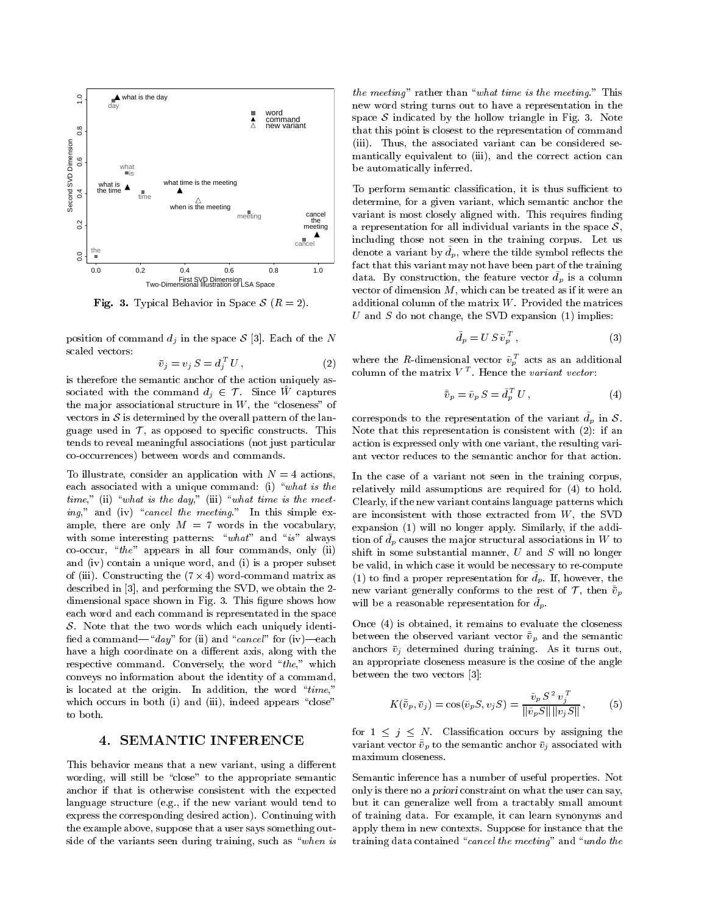

Fig. 3. Typical Behavior in Space <sup>S</sup> (R = 2).

position of command  $d_i$  in the space S [3]. Each of the N scaled vectors:

$$
\bar{v}_j = v_j S = d_j^T U , \qquad (2)
$$

is therefore the semantic anchor of the action uniquely associated with the command  $d_j \in \mathcal{T}$ . Since W captures the major associational structure in  $W$ , the "closeness" of vectors in  $S$  is determined by the overall pattern of the language used in  $\mathcal{T}$ , as opposed to specific constructs. This tends to reveal meaningful associations (not just particular co-occurrences) between words and commands.

To illustrate, consider an application with  $N = 4$  actions, each associated with a unique command: (i) "what is the time," (ii) "what is the day," (iii) "what time is the meeting," and (iv) "cancel the meeting." In this simple example, there are only  $M = 7$  words in the vocabulary, with some interesting patterns: " $what"$  and " $is"$  always co-occur, "the" appears in all four commands, only (ii) and (iv) contain a unique word, and (i) is a proper subset  $\alpha$  (iii). Constructing the (1  $\alpha$  - 4) we have assumed matrix as  $\alpha$ described in [3], and performing the SVD, we obtain the 2 dimensional space shown in Fig. 3. This figure shows how each word and each command is representated in the space  $S$ . Note that the two words which each uniquely identified a command—"day" for (ii) and "cancel" for (iv)—each have a high coordinate on a different axis, along with the respective command. Conversely, the word "the," which conveys no information about the identity of a command, is located at the origin. In addition, the word " $time$ ," which occurs in both (i) and (iii), indeed appears "close" to both.

## 4. SEMANTIC INFERENCE

This behavior means that a new variant, using a different wording, will still be "close" to the appropriate semantic anchor if that is otherwise consistent with the expected language structure (e.g., if the new variant would tend to express the corresponding desired action). Continuing with the example above, suppose that a user says something outside of the variants seen during training, such as "when is

the meeting  $\alpha$  rather than  $\alpha$  what time is the meeting. This new word string turns out to have a representation in the space  $S$  indicated by the hollow triangle in Fig. 3. Note that this point is closest to the representation of command (iii). Thus, the associated variant can be considered se-mantically equivalent to (iii), and the correct action can be automatically inferred.

To perform semantic classification, it is thus sufficient to determine, for a given variant, which semantic anchor the variant is most closely aligned with. This requires finding a representation for all individual variants in the space  $S$ , including those not seen in the training corpus. Let us denote a variant by  $d_p$ , where the tilde symbol reflects the fact that this variant may not have been part of the training  $a_a$ , by construction, the feature vector  $a_p$  is a column vector of dimension  $M$ , which can be treated as if it were an additional column of the matrix  $W$ . Provided the matrices U and S do not change, the SVD expansion  $(1)$  implies:

$$
\tilde{d}_p = U S \tilde{v}_p^T , \qquad (3)
$$

 $j^T U$ , (2) where the *R*-dimensional vector  $v_p$  acts as an additional column of the matrix  $V^T$ . Hence the *variant vector*:

$$
\tilde{\bar{v}}_p = \tilde{v}_p \, S = \tilde{d}_p^T \, U \,, \tag{4}
$$

corresponds to the representation of the variant  $\tilde{d}_p$  in S. Note that this representation is consistent with (2): if an action is expressed only with one variant, the resulting vari ant vector reduces to the semantic anchor for that action.

In the case of a variant not seen in the training corpus, relatively mild assumptions are required for (4) to hold. Clearly, if the new variant contains language patterns which are inconsistent with those extracted from W, the SVD expansion (1) will no longer apply. Similarly, if the addi- $\mathfrak{u}$  of  $a_n$  causes the major structural associations in W to shift in some substantial manner,  $U$  and  $S$  will no longer be valid, in which case it would be necessary to re-compute  $(1)$  to find a proper representation for  $a_p$ . If, however, the new variant generally conforms to the rest of  $\mathcal{T},$  then  $\tilde{\bar{v}}_p$ will be a reasonable representation for  $d_p$ .

Once (4) is obtained, it remains to evaluate the closeness between the observed variant vector  $\tilde{v}_p$  and the semantic anchors  $\bar{v}_i$  determined during training. As it turns out, an appropriate closeness measure is the cosine of the angle between the two vectors [3]:

$$
K(\tilde{\bar{v}}_p, \bar{v}_j) = \cos(\tilde{v}_p S, v_j S) = \frac{\tilde{v}_p S^2 v_j^T}{\|\tilde{v}_p S\| \|v_j S\|},
$$
 (5)

for  $1 \leq j \leq N$ . Classification occurs by assigning the variant vector  $\tilde{\bar{v}}_p$  to the semantic anchor  $\bar{v}_j$  associated with maximum closeness.

Semantic inference has a number of useful properties. Not only is there no a priori constraint on what the user can say, but it can generalize well from a tractably small amount of training data. For example, it can learn synonyms and apply them in new contexts. Suppose for instance that the training data contained "cancel the meeting" and "undo the